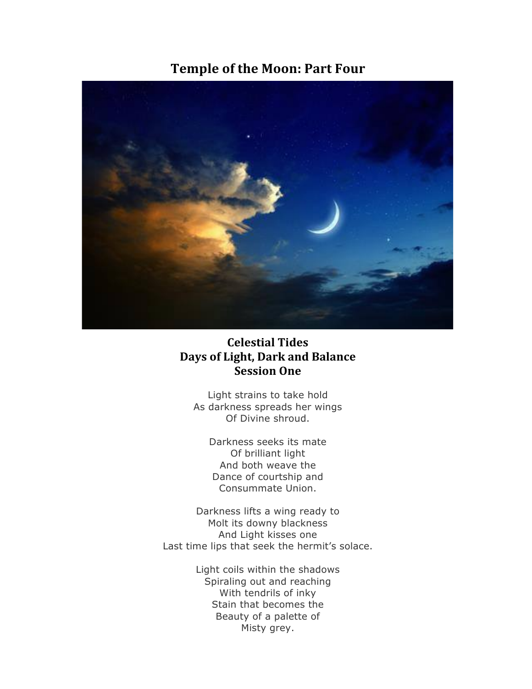# **Temple of the Moon: Part Four**



# **Celestial Tides Days of Light, Dark and Balance Session One**

Light strains to take hold As darkness spreads her wings Of Divine shroud.

> Darkness seeks its mate Of brilliant light And both weave the Dance of courtship and Consummate Union.

Darkness lifts a wing ready to Molt its downy blackness And Light kisses one Last time lips that seek the hermit's solace.

> Light coils within the shadows Spiraling out and reaching With tendrils of inky Stain that becomes the Beauty of a palette of Misty grey.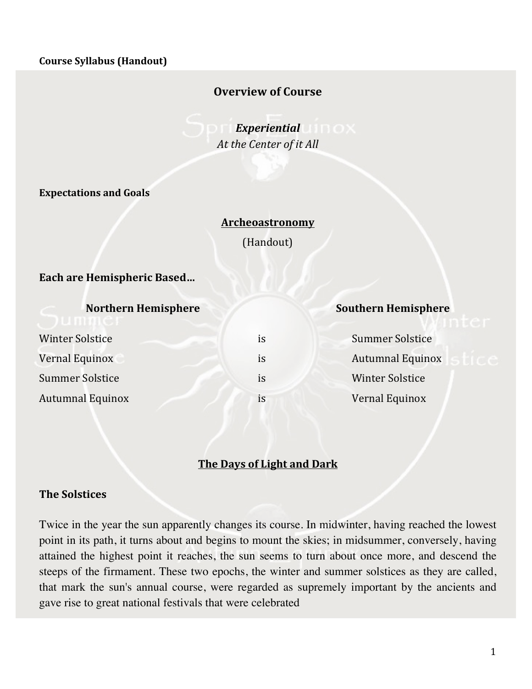#### **Overview of Course**

*Experiential* At the Center of it All

**Expectations and Goals** 

# **Archeoastronomy**

(Handout)

#### **Each are Hemispheric Based…**

| <b>Northern Hemisphere</b> |           | <b>Southern Hemisphere</b> |
|----------------------------|-----------|----------------------------|
| <b>Winter Solstice</b>     | <i>is</i> | <b>Summer Solstice</b>     |
| Vernal Equinox             | is        | <b>Autumnal Equinox</b>    |
| <b>Summer Solstice</b>     | is        | <b>Winter Solstice</b>     |
| <b>Autumnal Equinox</b>    | <i>is</i> | <b>Vernal Equinox</b>      |

# **The Days of Light and Dark**

#### **The Solstices**

Twice in the year the sun apparently changes its course. In midwinter, having reached the lowest point in its path, it turns about and begins to mount the skies; in midsummer, conversely, having attained the highest point it reaches, the sun seems to turn about once more, and descend the steeps of the firmament. These two epochs, the winter and summer solstices as they are called, that mark the sun's annual course, were regarded as supremely important by the ancients and gave rise to great national festivals that were celebrated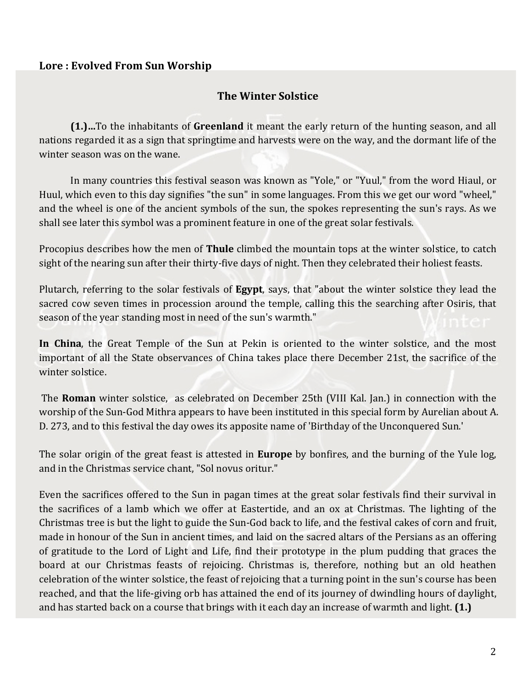#### **Lore** : Evolved From Sun Worship

#### **The Winter Solstice**

**(1.)...** To the inhabitants of **Greenland** it meant the early return of the hunting season, and all nations regarded it as a sign that springtime and harvests were on the way, and the dormant life of the winter season was on the wane.

In many countries this festival season was known as "Yole," or "Yuul," from the word Hiaul, or Huul, which even to this day signifies "the sun" in some languages. From this we get our word "wheel," and the wheel is one of the ancient symbols of the sun, the spokes representing the sun's rays. As we shall see later this symbol was a prominent feature in one of the great solar festivals.

Procopius describes how the men of **Thule** climbed the mountain tops at the winter solstice, to catch sight of the nearing sun after their thirty-five days of night. Then they celebrated their holiest feasts.

Plutarch, referring to the solar festivals of **Egypt**, says, that "about the winter solstice they lead the sacred cow seven times in procession around the temple, calling this the searching after Osiris, that season of the year standing most in need of the sun's warmth."

**In China**, the Great Temple of the Sun at Pekin is oriented to the winter solstice, and the most important of all the State observances of China takes place there December 21st, the sacrifice of the winter solstice.

The **Roman** winter solstice, as celebrated on December 25th (VIII Kal. Jan.) in connection with the worship of the Sun-God Mithra appears to have been instituted in this special form by Aurelian about A. D. 273, and to this festival the day owes its apposite name of 'Birthday of the Unconquered Sun.'

The solar origin of the great feast is attested in **Europe** by bonfires, and the burning of the Yule log, and in the Christmas service chant, "Sol novus oritur."

Even the sacrifices offered to the Sun in pagan times at the great solar festivals find their survival in the sacrifices of a lamb which we offer at Eastertide, and an ox at Christmas. The lighting of the Christmas tree is but the light to guide the Sun-God back to life, and the festival cakes of corn and fruit, made in honour of the Sun in ancient times, and laid on the sacred altars of the Persians as an offering of gratitude to the Lord of Light and Life, find their prototype in the plum pudding that graces the board at our Christmas feasts of rejoicing. Christmas is, therefore, nothing but an old heathen celebration of the winter solstice, the feast of rejoicing that a turning point in the sun's course has been reached, and that the life-giving orb has attained the end of its journey of dwindling hours of daylight, and has started back on a course that brings with it each day an increase of warmth and light. **(1.)**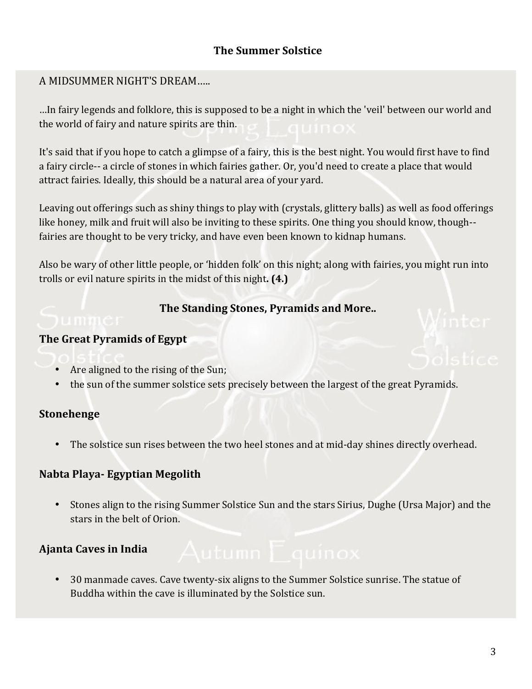# **The Summer Solstice**

#### A MIDSUMMER NIGHT'S DREAM.....

...In fairy legends and folklore, this is supposed to be a night in which the 'veil' between our world and the world of fairy and nature spirits are thin.

It's said that if you hope to catch a glimpse of a fairy, this is the best night. You would first have to find a fairy circle-- a circle of stones in which fairies gather. Or, you'd need to create a place that would attract fairies. Ideally, this should be a natural area of your yard.

Leaving out offerings such as shiny things to play with (crystals, glittery balls) as well as food offerings like honey, milk and fruit will also be inviting to these spirits. One thing you should know, though-fairies are thought to be very tricky, and have even been known to kidnap humans.

Also be wary of other little people, or 'hidden folk' on this night; along with fairies, you might run into trolls or evil nature spirits in the midst of this night**. (4.)**

# **The Standing Stones, Pyramids and More..**

#### **The Great Pyramids of Egypt**

- Are aligned to the rising of the Sun;
- the sun of the summer solstice sets precisely between the largest of the great Pyramids.

# **Stonehenge**

The solstice sun rises between the two heel stones and at mid-day shines directly overhead.

# **Nabta Playa- Egyptian Megolith**

Stones align to the rising Summer Solstice Sun and the stars Sirius, Dughe (Ursa Major) and the stars in the belt of Orion.

# **Ajanta Caves in India**

30 manmade caves. Cave twenty-six aligns to the Summer Solstice sunrise. The statue of Buddha within the cave is illuminated by the Solstice sun.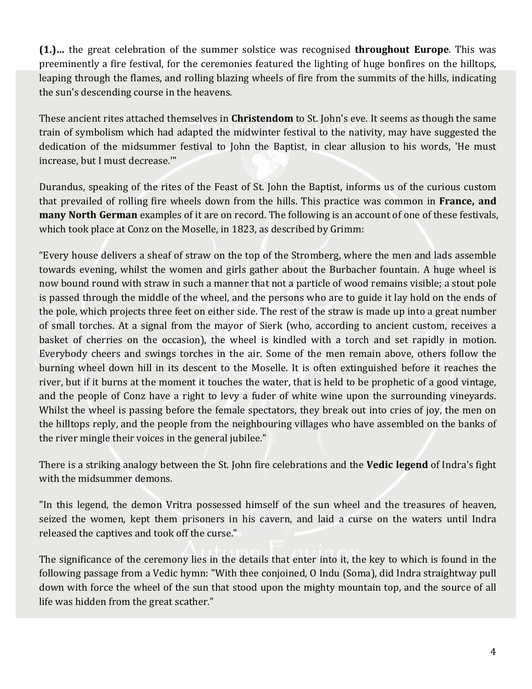**(1.)**... the great celebration of the summer solstice was recognised **throughout Europe**. This was preeminently a fire festival, for the ceremonies featured the lighting of huge bonfires on the hilltops, leaping through the flames, and rolling blazing wheels of fire from the summits of the hills, indicating the sun's descending course in the heavens.

These ancient rites attached themselves in **Christendom** to St. John's eve. It seems as though the same train of symbolism which had adapted the midwinter festival to the nativity, may have suggested the dedication of the midsummer festival to John the Baptist, in clear allusion to his words, 'He must increase, but I must decrease.""

Durandus, speaking of the rites of the Feast of St. John the Baptist, informs us of the curious custom that prevailed of rolling fire wheels down from the hills. This practice was common in **France**, and **many North German** examples of it are on record. The following is an account of one of these festivals, which took place at Conz on the Moselle, in 1823, as described by Grimm:

"Every house delivers a sheaf of straw on the top of the Stromberg, where the men and lads assemble towards evening, whilst the women and girls gather about the Burbacher fountain. A huge wheel is now bound round with straw in such a manner that not a particle of wood remains visible; a stout pole is passed through the middle of the wheel, and the persons who are to guide it lay hold on the ends of the pole, which projects three feet on either side. The rest of the straw is made up into a great number of small torches. At a signal from the mayor of Sierk (who, according to ancient custom, receives a basket of cherries on the occasion), the wheel is kindled with a torch and set rapidly in motion. Everybody cheers and swings torches in the air. Some of the men remain above, others follow the burning wheel down hill in its descent to the Moselle. It is often extinguished before it reaches the river, but if it burns at the moment it touches the water, that is held to be prophetic of a good vintage, and the people of Conz have a right to levy a fuder of white wine upon the surrounding vineyards. Whilst the wheel is passing before the female spectators, they break out into cries of joy, the men on the hilltops reply, and the people from the neighbouring villages who have assembled on the banks of the river mingle their voices in the general jubilee."

There is a striking analogy between the St. John fire celebrations and the **Vedic legend** of Indra's fight with the midsummer demons.

"In this legend, the demon Vritra possessed himself of the sun wheel and the treasures of heaven, seized the women, kept them prisoners in his cavern, and laid a curse on the waters until Indra released the captives and took off the curse."

The significance of the ceremony lies in the details that enter into it, the key to which is found in the following passage from a Vedic hymn: "With thee conjoined, O Indu (Soma), did Indra straightway pull down with force the wheel of the sun that stood upon the mighty mountain top, and the source of all life was hidden from the great scather."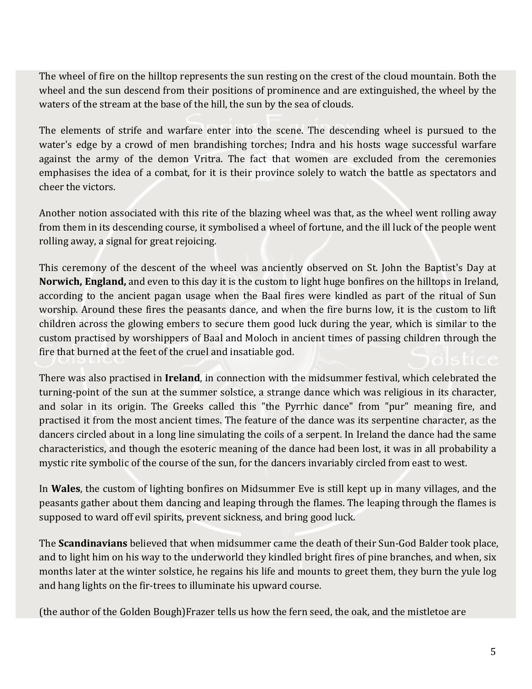The wheel of fire on the hilltop represents the sun resting on the crest of the cloud mountain. Both the wheel and the sun descend from their positions of prominence and are extinguished, the wheel by the waters of the stream at the base of the hill, the sun by the sea of clouds.

The elements of strife and warfare enter into the scene. The descending wheel is pursued to the water's edge by a crowd of men brandishing torches; Indra and his hosts wage successful warfare against the army of the demon Vritra. The fact that women are excluded from the ceremonies emphasises the idea of a combat, for it is their province solely to watch the battle as spectators and cheer the victors.

Another notion associated with this rite of the blazing wheel was that, as the wheel went rolling away from them in its descending course, it symbolised a wheel of fortune, and the ill luck of the people went rolling away, a signal for great rejoicing.

This ceremony of the descent of the wheel was anciently observed on St. John the Baptist's Day at **Norwich, England,** and even to this day it is the custom to light huge bonfires on the hilltops in Ireland, according to the ancient pagan usage when the Baal fires were kindled as part of the ritual of Sun worship. Around these fires the peasants dance, and when the fire burns low, it is the custom to lift children across the glowing embers to secure them good luck during the year, which is similar to the custom practised by worshippers of Baal and Moloch in ancient times of passing children through the fire that burned at the feet of the cruel and insatiable god.

There was also practised in **Ireland**, in connection with the midsummer festival, which celebrated the turning-point of the sun at the summer solstice, a strange dance which was religious in its character, and solar in its origin. The Greeks called this "the Pyrrhic dance" from "pur" meaning fire, and practised it from the most ancient times. The feature of the dance was its serpentine character, as the dancers circled about in a long line simulating the coils of a serpent. In Ireland the dance had the same characteristics, and though the esoteric meaning of the dance had been lost, it was in all probability a mystic rite symbolic of the course of the sun, for the dancers invariably circled from east to west.

In **Wales**, the custom of lighting bonfires on Midsummer Eve is still kept up in many villages, and the peasants gather about them dancing and leaping through the flames. The leaping through the flames is supposed to ward off evil spirits, prevent sickness, and bring good luck.

The **Scandinavians** believed that when midsummer came the death of their Sun-God Balder took place, and to light him on his way to the underworld they kindled bright fires of pine branches, and when, six months later at the winter solstice, he regains his life and mounts to greet them, they burn the yule log and hang lights on the fir-trees to illuminate his upward course.

(the author of the Golden Bough)Frazer tells us how the fern seed, the oak, and the mistletoe are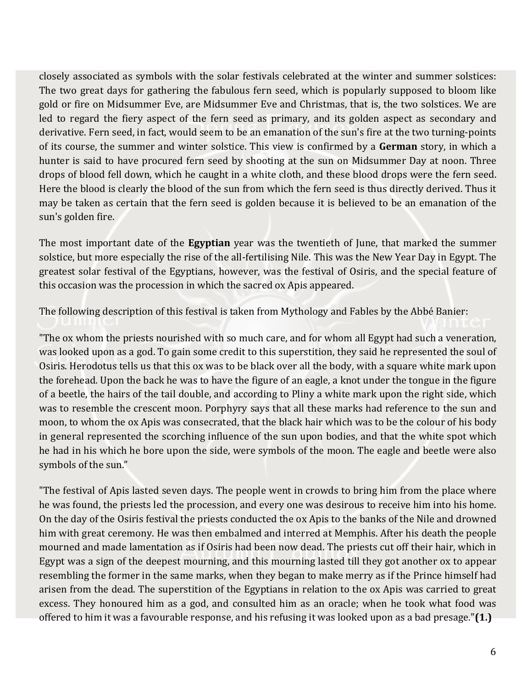closely associated as symbols with the solar festivals celebrated at the winter and summer solstices: The two great days for gathering the fabulous fern seed, which is popularly supposed to bloom like gold or fire on Midsummer Eve, are Midsummer Eve and Christmas, that is, the two solstices. We are led to regard the fiery aspect of the fern seed as primary, and its golden aspect as secondary and derivative. Fern seed, in fact, would seem to be an emanation of the sun's fire at the two turning-points of its course, the summer and winter solstice. This view is confirmed by a **German** story, in which a hunter is said to have procured fern seed by shooting at the sun on Midsummer Day at noon. Three drops of blood fell down, which he caught in a white cloth, and these blood drops were the fern seed. Here the blood is clearly the blood of the sun from which the fern seed is thus directly derived. Thus it may be taken as certain that the fern seed is golden because it is believed to be an emanation of the sun's golden fire.

The most important date of the **Egyptian** year was the twentieth of June, that marked the summer solstice, but more especially the rise of the all-fertilising Nile. This was the New Year Day in Egypt. The greatest solar festival of the Egyptians, however, was the festival of Osiris, and the special feature of this occasion was the procession in which the sacred ox Apis appeared.

The following description of this festival is taken from Mythology and Fables by the Abbé Banier:

"The ox whom the priests nourished with so much care, and for whom all Egypt had such a veneration, was looked upon as a god. To gain some credit to this superstition, they said he represented the soul of Osiris. Herodotus tells us that this ox was to be black over all the body, with a square white mark upon the forehead. Upon the back he was to have the figure of an eagle, a knot under the tongue in the figure of a beetle, the hairs of the tail double, and according to Pliny a white mark upon the right side, which was to resemble the crescent moon. Porphyry says that all these marks had reference to the sun and moon, to whom the ox Apis was consecrated, that the black hair which was to be the colour of his body in general represented the scorching influence of the sun upon bodies, and that the white spot which he had in his which he bore upon the side, were symbols of the moon. The eagle and beetle were also symbols of the sun."

"The festival of Apis lasted seven days. The people went in crowds to bring him from the place where he was found, the priests led the procession, and every one was desirous to receive him into his home. On the day of the Osiris festival the priests conducted the ox Apis to the banks of the Nile and drowned him with great ceremony. He was then embalmed and interred at Memphis. After his death the people mourned and made lamentation as if Osiris had been now dead. The priests cut off their hair, which in Egypt was a sign of the deepest mourning, and this mourning lasted till they got another ox to appear resembling the former in the same marks, when they began to make merry as if the Prince himself had arisen from the dead. The superstition of the Egyptians in relation to the ox Apis was carried to great excess. They honoured him as a god, and consulted him as an oracle; when he took what food was offered to him it was a favourable response, and his refusing it was looked upon as a bad presage."(1.)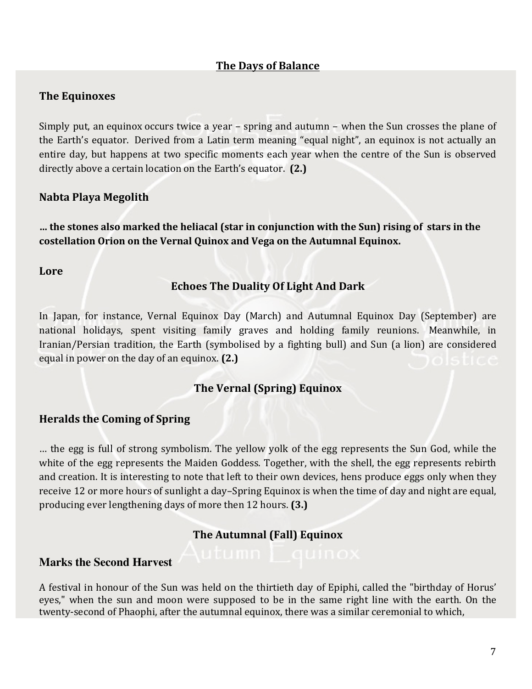# **The Days of Balance**

#### **The Equinoxes**

Simply put, an equinox occurs twice a year – spring and autumn – when the Sun crosses the plane of the Earth's equator. Derived from a Latin term meaning "equal night", an equinox is not actually an entire day, but happens at two specific moments each year when the centre of the Sun is observed directly above a certain location on the Earth's equator. **(2.)** 

# **Nabta Playa Megolith**

**…** the stones also marked the heliacal (star in conjunction with the Sun) rising of stars in the **costellation Orion on the Vernal Quinox and Vega on the Autumnal Equinox.** 

#### **Lore**

# **Echoes The Duality Of Light And Dark**

In Japan, for instance, Vernal Equinox Day (March) and Autumnal Equinox Day (September) are national holidays, spent visiting family graves and holding family reunions. Meanwhile, in Iranian/Persian tradition, the Earth (symbolised by a fighting bull) and Sun (a lion) are considered equal in power on the day of an equinox. **(2.)** 

# **The Vernal (Spring) Equinox**

# **Heralds the Coming of Spring**

... the egg is full of strong symbolism. The yellow yolk of the egg represents the Sun God, while the white of the egg represents the Maiden Goddess. Together, with the shell, the egg represents rebirth and creation. It is interesting to note that left to their own devices, hens produce eggs only when they receive 12 or more hours of sunlight a day–Spring Equinox is when the time of day and night are equal, producing ever lengthening days of more then 12 hours. **(3.)** 

# **The Autumnal (Fall) Equinox**

#### **Marks the Second Harvest**

A festival in honour of the Sun was held on the thirtieth day of Epiphi, called the "birthday of Horus' eyes," when the sun and moon were supposed to be in the same right line with the earth. On the twenty-second of Phaophi, after the autumnal equinox, there was a similar ceremonial to which,